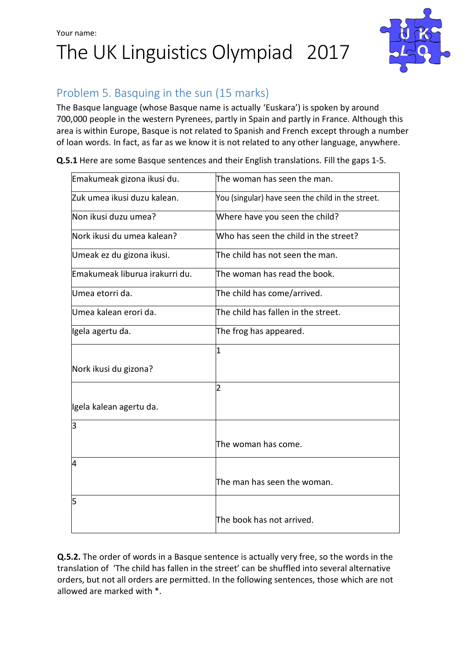## Your name: The UK Linguistics Olympiad 2017



## Problem 5. Basquing in the sun (15 marks)

The Basque language (whose Basque name is actually 'Euskara') is spoken by around 700,000 people in the western Pyrenees, partly in Spain and partly in France. Although this area is within Europe, Basque is not related to Spanish and French except through a number of loan words. In fact, as far as we know it is not related to any other language, anywhere.

**Q.5.1** Here are some Basque sentences and their English translations. Fill the gaps 1-5.

| Emakumeak gizona ikusi du.     | The woman has seen the man.                       |
|--------------------------------|---------------------------------------------------|
| Zuk umea ikusi duzu kalean.    | You (singular) have seen the child in the street. |
| Non ikusi duzu umea?           | Where have you seen the child?                    |
| Nork ikusi du umea kalean?     | Who has seen the child in the street?             |
| Umeak ez du gizona ikusi.      | The child has not seen the man.                   |
| Emakumeak liburua irakurri du. | The woman has read the book.                      |
| Umea etorri da.                | The child has come/arrived.                       |
| Umea kalean erori da.          | The child has fallen in the street.               |
| Igela agertu da.               | The frog has appeared.                            |
|                                | 1                                                 |
| Nork ikusi du gizona?          |                                                   |
|                                | 2                                                 |
| Igela kalean agertu da.        |                                                   |
| 3                              |                                                   |
|                                | The woman has come.                               |
| 4                              |                                                   |
|                                | The man has seen the woman.                       |
| 5                              |                                                   |
|                                | The book has not arrived.                         |

**Q.5.2.** The order of words in a Basque sentence is actually very free, so the words in the translation of 'The child has fallen in the street' can be shuffled into several alternative orders, but not all orders are permitted. In the following sentences, those which are not allowed are marked with \*.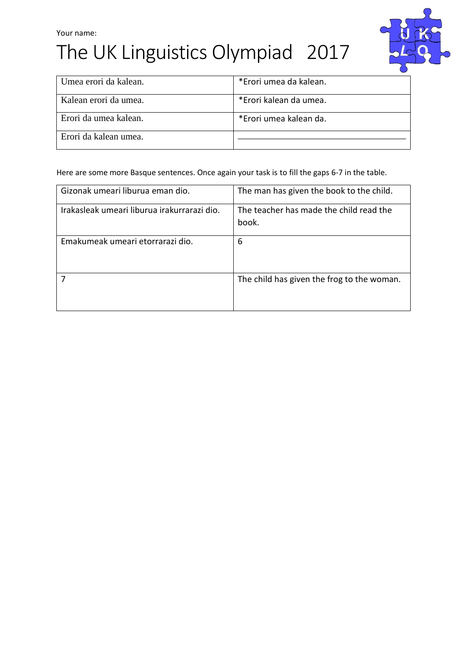# Your name: The UK Linguistics Olympiad 2017



| Umea erori da kalean. | *Erori umea da kalean. |
|-----------------------|------------------------|
| Kalean erori da umea. | *Erori kalean da umea. |
| Erori da umea kalean. | *Erori umea kalean da. |
| Erori da kalean umea. |                        |

Here are some more Basque sentences. Once again your task is to fill the gaps 6-7 in the table.

| Gizonak umeari liburua eman dio.            | The man has given the book to the child.   |
|---------------------------------------------|--------------------------------------------|
|                                             |                                            |
| Irakasleak umeari liburua irakurrarazi dio. | The teacher has made the child read the    |
|                                             | book.                                      |
|                                             |                                            |
| Emakumeak umeari etorrarazi dio.            | 6                                          |
|                                             |                                            |
|                                             | The child has given the frog to the woman. |
|                                             |                                            |
|                                             |                                            |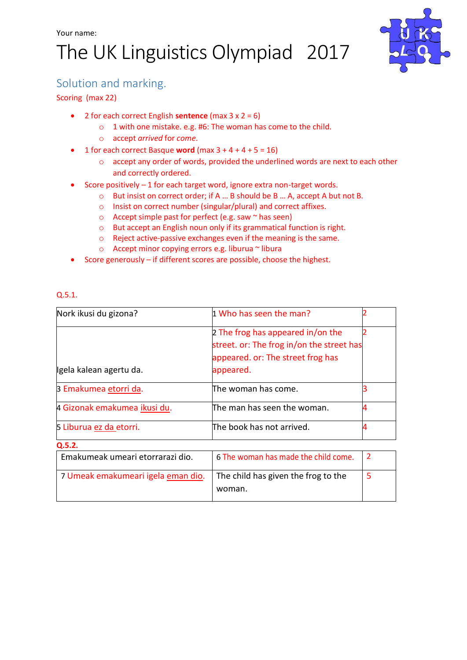# The UK Linguistics Olympiad 2017



### Solution and marking.

#### Scoring (max 22)

- 2 for each correct English **sentence** (max 3 x 2 = 6)
	- o 1 with one mistake. e.g. #6: The woman has come to the child.
	- o accept *arrived* for *come*.
- 1 for each correct Basque **word** (max 3 + 4 + 4 + 5 = 16)
	- o accept any order of words, provided the underlined words are next to each other and correctly ordered.
- Score positively 1 for each target word, ignore extra non-target words.
	- o But insist on correct order; if A … B should be B … A, accept A but not B.
	- o Insist on correct number (singular/plural) and correct affixes.
	- $\circ$  Accept simple past for perfect (e.g. saw  $\sim$  has seen)
	- o But accept an English noun only if its grammatical function is right.
	- o Reject active-passive exchanges even if the meaning is the same.
	- o Accept minor copying errors e.g. liburua ~ libura
- Score generously if different scores are possible, choose the highest.

#### Q.5.1.

| Nork ikusi du gizona?              | 1 Who has seen the man?                   |                |
|------------------------------------|-------------------------------------------|----------------|
|                                    | 2 The frog has appeared in/on the         |                |
|                                    | street. or: The frog in/on the street has |                |
|                                    | appeared. or: The street frog has         |                |
| Igela kalean agertu da.            | appeared.                                 |                |
| 3 Emakumea etorri da.              | The woman has come.                       |                |
| 4 Gizonak emakumea ikusi du.       | The man has seen the woman.               | 4              |
| 5 Liburua ez da etorri.            | The book has not arrived.                 | 4              |
| Q.5.2.                             |                                           |                |
| Emakumeak umeari etorrarazi dio.   | 6 The woman has made the child come.      | $\overline{2}$ |
| 7 Umeak emakumeari igela eman dio. | The child has given the frog to the       | 5              |
|                                    | woman.                                    |                |